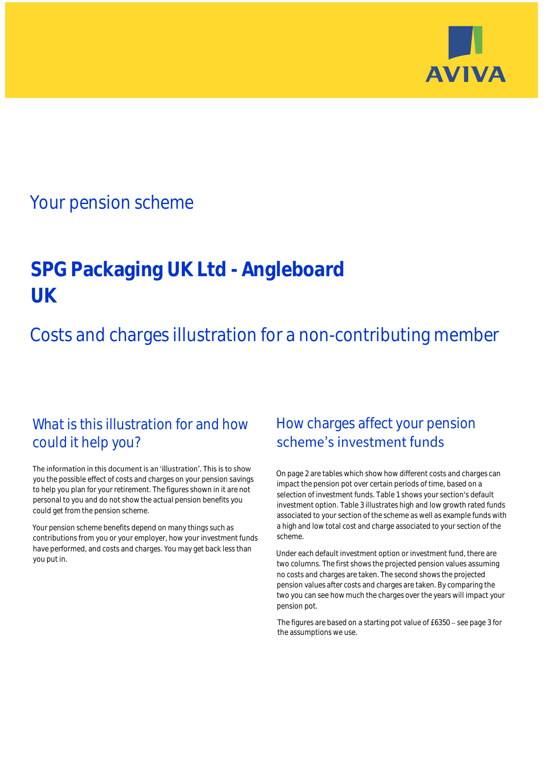

## Your pension scheme

# **SPG Packaging UK Ltd - Angleboard UK**

Costs and charges illustration for a non-contributing member

### What is this illustration for and how could it help you?

#### The information in this document is an 'illustration'. This is to show you the possible effect of costs and charges on your pension savings to help you plan for your retirement. The figures shown in it are not personal to you and do not show the actual pension benefits you could get from the pension scheme.

Your pension scheme benefits depend on many things such as contributions from you or your employer, how your investment funds have performed, and costs and charges. You may get back less than you put in.

### How charges affect your pension scheme's investment funds

On page 2 are tables which show how different costs and charges can impact the pension pot over certain periods of time, based on a selection of investment funds. Table 1 shows your section's default investment option. Table 3 illustrates high and low growth rated funds associated to your section of the scheme as well as example funds with a high and low total cost and charge associated to your section of the scheme.

Under each default investment option or investment fund, there are two columns. The first shows the projected pension values assuming no costs and charges are taken. The second shows the projected pension values after costs and charges are taken. By comparing the two you can see how much the charges over the years will impact your pension pot.

The figures are based on a starting pot value of  $£6350 -$  see page 3 for the assumptions we use.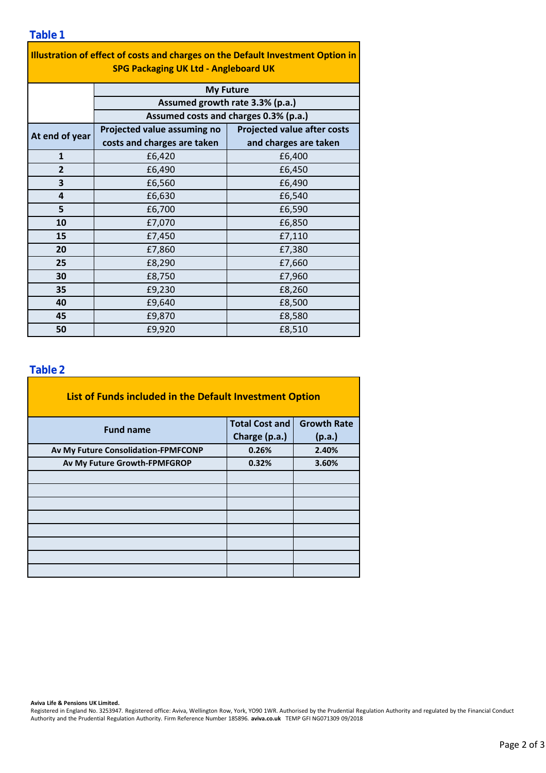| Illustration of effect of costs and charges on the Default Investment Option in<br><b>SPG Packaging UK Ltd - Angleboard UK</b> |                                                                          |                                    |  |  |  |
|--------------------------------------------------------------------------------------------------------------------------------|--------------------------------------------------------------------------|------------------------------------|--|--|--|
|                                                                                                                                | <b>My Future</b>                                                         |                                    |  |  |  |
|                                                                                                                                | Assumed growth rate 3.3% (p.a.)<br>Assumed costs and charges 0.3% (p.a.) |                                    |  |  |  |
|                                                                                                                                |                                                                          |                                    |  |  |  |
| At end of year                                                                                                                 | Projected value assuming no                                              | <b>Projected value after costs</b> |  |  |  |
|                                                                                                                                | costs and charges are taken                                              | and charges are taken              |  |  |  |
| $\mathbf{1}$                                                                                                                   | £6,420                                                                   | £6,400                             |  |  |  |
| $\overline{2}$                                                                                                                 | £6,490                                                                   | £6,450                             |  |  |  |
| 3                                                                                                                              | £6,560                                                                   | £6,490                             |  |  |  |
| 4                                                                                                                              | £6,630                                                                   | £6,540                             |  |  |  |
| 5                                                                                                                              | £6,700                                                                   | £6,590                             |  |  |  |
| 10                                                                                                                             | £7,070                                                                   | £6,850                             |  |  |  |
| 15                                                                                                                             | £7,450                                                                   | £7,110                             |  |  |  |
| 20                                                                                                                             | £7,860                                                                   | £7,380                             |  |  |  |
| 25                                                                                                                             | £8,290                                                                   | £7,660                             |  |  |  |
| 30                                                                                                                             | £8,750                                                                   | £7,960                             |  |  |  |
| 35                                                                                                                             | £9,230                                                                   | £8,260                             |  |  |  |
| 40                                                                                                                             | £9,640                                                                   | £8,500                             |  |  |  |
| 45                                                                                                                             | £9,870                                                                   | £8,580                             |  |  |  |
| 50                                                                                                                             | £9,920                                                                   | £8,510                             |  |  |  |

### **Table 2**

| List of Funds included in the Default Investment Option |                       |                    |  |  |  |
|---------------------------------------------------------|-----------------------|--------------------|--|--|--|
| <b>Fund name</b>                                        | <b>Total Cost and</b> | <b>Growth Rate</b> |  |  |  |
|                                                         | Charge (p.a.)         | (p.a.)             |  |  |  |
| Av My Future Consolidation-FPMFCONP                     | 0.26%                 | 2.40%              |  |  |  |
| Av My Future Growth-FPMFGROP                            | 0.32%                 | 3.60%              |  |  |  |
|                                                         |                       |                    |  |  |  |
|                                                         |                       |                    |  |  |  |
|                                                         |                       |                    |  |  |  |
|                                                         |                       |                    |  |  |  |
|                                                         |                       |                    |  |  |  |
|                                                         |                       |                    |  |  |  |
|                                                         |                       |                    |  |  |  |
|                                                         |                       |                    |  |  |  |

**Aviva Life & Pensions UK Limited.**

Registered in England No. 3253947. Registered office: Aviva, Wellington Row, York, YO90 1WR. Authorised by the Prudential Regulation Authority and regulated by the Financial Conduct Authority and the Prudential Regulation Authority. Firm Reference Number 185896. **aviva.co.uk** TEMP GFI NG071309 09/2018